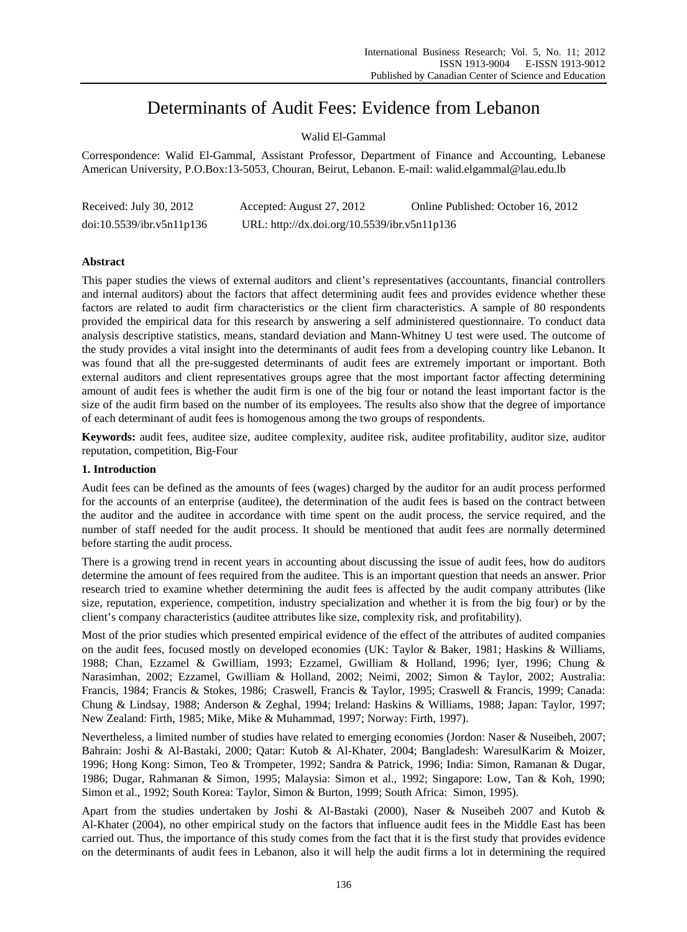# Determinants of Audit Fees: Evidence from Lebanon

## Walid El-Gammal

Correspondence: Walid El-Gammal, Assistant Professor, Department of Finance and Accounting, Lebanese American University, P.O.Box:13-5053, Chouran, Beirut, Lebanon. E-mail: walid.elgammal@lau.edu.lb

| Received: July 30, 2012   | Accepted: August 27, 2012                    | Online Published: October 16, 2012 |
|---------------------------|----------------------------------------------|------------------------------------|
| doi:10.5539/ibr.v5n11p136 | URL: http://dx.doi.org/10.5539/ibr.v5n11p136 |                                    |

## **Abstract**

This paper studies the views of external auditors and client's representatives (accountants, financial controllers and internal auditors) about the factors that affect determining audit fees and provides evidence whether these factors are related to audit firm characteristics or the client firm characteristics. A sample of 80 respondents provided the empirical data for this research by answering a self administered questionnaire. To conduct data analysis descriptive statistics, means, standard deviation and Mann-Whitney U test were used. The outcome of the study provides a vital insight into the determinants of audit fees from a developing country like Lebanon. It was found that all the pre-suggested determinants of audit fees are extremely important or important. Both external auditors and client representatives groups agree that the most important factor affecting determining amount of audit fees is whether the audit firm is one of the big four or notand the least important factor is the size of the audit firm based on the number of its employees. The results also show that the degree of importance of each determinant of audit fees is homogenous among the two groups of respondents.

**Keywords:** audit fees, auditee size, auditee complexity, auditee risk, auditee profitability, auditor size, auditor reputation, competition, Big-Four

## **1. Introduction**

Audit fees can be defined as the amounts of fees (wages) charged by the auditor for an audit process performed for the accounts of an enterprise (auditee), the determination of the audit fees is based on the contract between the auditor and the auditee in accordance with time spent on the audit process, the service required, and the number of staff needed for the audit process. It should be mentioned that audit fees are normally determined before starting the audit process.

There is a growing trend in recent years in accounting about discussing the issue of audit fees, how do auditors determine the amount of fees required from the auditee. This is an important question that needs an answer. Prior research tried to examine whether determining the audit fees is affected by the audit company attributes (like size, reputation, experience, competition, industry specialization and whether it is from the big four) or by the client's company characteristics (auditee attributes like size, complexity risk, and profitability).

Most of the prior studies which presented empirical evidence of the effect of the attributes of audited companies on the audit fees, focused mostly on developed economies (UK: Taylor & Baker, 1981; Haskins & Williams, 1988; Chan, Ezzamel & Gwilliam, 1993; Ezzamel, Gwilliam & Holland, 1996; Iyer, 1996; Chung & Narasimhan, 2002; Ezzamel, Gwilliam & Holland, 2002; Neimi, 2002; Simon & Taylor, 2002; Australia: Francis, 1984; Francis & Stokes, 1986; Craswell, Francis & Taylor, 1995; Craswell & Francis, 1999; Canada: Chung & Lindsay, 1988; Anderson & Zeghal, 1994; Ireland: Haskins & Williams, 1988; Japan: Taylor, 1997; New Zealand: Firth, 1985; Mike, Mike & Muhammad, 1997; Norway: Firth, 1997).

Nevertheless, a limited number of studies have related to emerging economies (Jordon: Naser & Nuseibeh, 2007; Bahrain: Joshi & Al-Bastaki, 2000; Qatar: Kutob & Al-Khater, 2004; Bangladesh: WaresulKarim & Moizer, 1996; Hong Kong: Simon, Teo & Trompeter, 1992; Sandra & Patrick, 1996; India: Simon, Ramanan & Dugar, 1986; Dugar, Rahmanan & Simon, 1995; Malaysia: Simon et al., 1992; Singapore: Low, Tan & Koh, 1990; Simon et al., 1992; South Korea: Taylor, Simon & Burton, 1999; South Africa: Simon, 1995).

Apart from the studies undertaken by Joshi & Al-Bastaki (2000), Naser & Nuseibeh 2007 and Kutob & Al-Khater (2004), no other empirical study on the factors that influence audit fees in the Middle East has been carried out. Thus, the importance of this study comes from the fact that it is the first study that provides evidence on the determinants of audit fees in Lebanon, also it will help the audit firms a lot in determining the required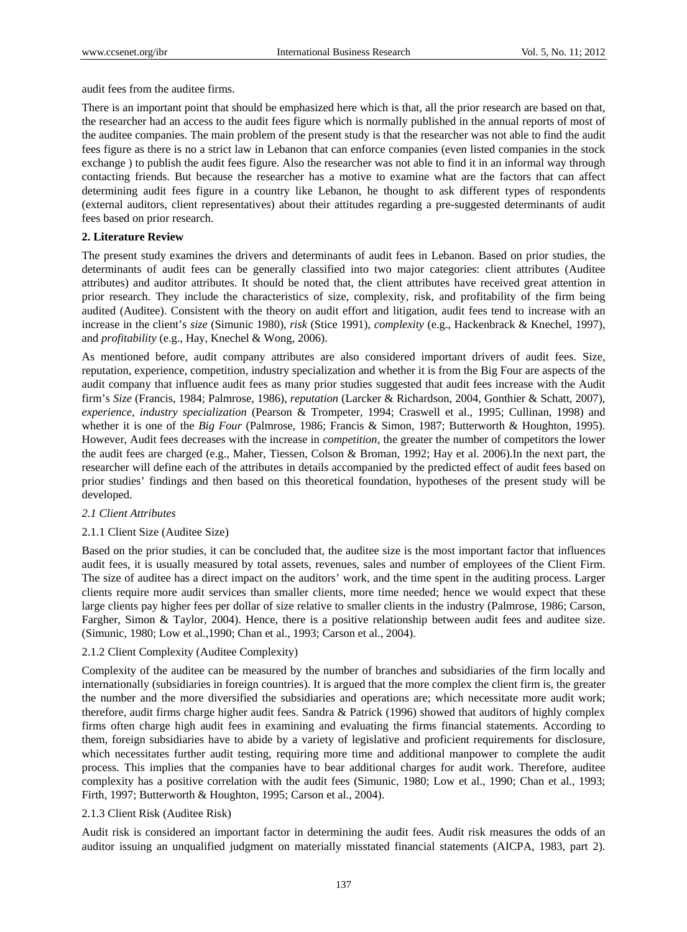audit fees from the auditee firms.

There is an important point that should be emphasized here which is that, all the prior research are based on that, the researcher had an access to the audit fees figure which is normally published in the annual reports of most of the auditee companies. The main problem of the present study is that the researcher was not able to find the audit fees figure as there is no a strict law in Lebanon that can enforce companies (even listed companies in the stock exchange ) to publish the audit fees figure. Also the researcher was not able to find it in an informal way through contacting friends. But because the researcher has a motive to examine what are the factors that can affect determining audit fees figure in a country like Lebanon, he thought to ask different types of respondents (external auditors, client representatives) about their attitudes regarding a pre-suggested determinants of audit fees based on prior research.

#### **2. Literature Review**

The present study examines the drivers and determinants of audit fees in Lebanon. Based on prior studies, the determinants of audit fees can be generally classified into two major categories: client attributes (Auditee attributes) and auditor attributes. It should be noted that, the client attributes have received great attention in prior research. They include the characteristics of size, complexity, risk, and profitability of the firm being audited (Auditee). Consistent with the theory on audit effort and litigation, audit fees tend to increase with an increase in the client's *size* (Simunic 1980), *risk* (Stice 1991), *complexity* (e.g., Hackenbrack & Knechel, 1997), and *profitability* (e.g., Hay, Knechel & Wong, 2006).

As mentioned before, audit company attributes are also considered important drivers of audit fees. Size, reputation, experience, competition, industry specialization and whether it is from the Big Four are aspects of the audit company that influence audit fees as many prior studies suggested that audit fees increase with the Audit firm's *Size* (Francis, 1984; Palmrose, 1986), *reputation* (Larcker & Richardson, 2004, Gonthier & Schatt, 2007), *experience*, *industry specialization* (Pearson & Trompeter, 1994; Craswell et al., 1995; Cullinan, 1998) and whether it is one of the *Big Four* (Palmrose, 1986; Francis & Simon, 1987; Butterworth & Houghton, 1995). However, Audit fees decreases with the increase in *competition*, the greater the number of competitors the lower the audit fees are charged (e.g., Maher, Tiessen, Colson & Broman, 1992; Hay et al. 2006).In the next part, the researcher will define each of the attributes in details accompanied by the predicted effect of audit fees based on prior studies' findings and then based on this theoretical foundation, hypotheses of the present study will be developed.

#### *2.1 Client Attributes*

## 2.1.1 Client Size (Auditee Size)

Based on the prior studies, it can be concluded that, the auditee size is the most important factor that influences audit fees, it is usually measured by total assets, revenues, sales and number of employees of the Client Firm. The size of auditee has a direct impact on the auditors' work, and the time spent in the auditing process. Larger clients require more audit services than smaller clients, more time needed; hence we would expect that these large clients pay higher fees per dollar of size relative to smaller clients in the industry (Palmrose, 1986; Carson, Fargher, Simon & Taylor, 2004). Hence, there is a positive relationship between audit fees and auditee size. (Simunic, 1980; Low et al.,1990; Chan et al., 1993; Carson et al., 2004).

## 2.1.2 Client Complexity (Auditee Complexity)

Complexity of the auditee can be measured by the number of branches and subsidiaries of the firm locally and internationally (subsidiaries in foreign countries). It is argued that the more complex the client firm is, the greater the number and the more diversified the subsidiaries and operations are; which necessitate more audit work; therefore, audit firms charge higher audit fees. Sandra & Patrick (1996) showed that auditors of highly complex firms often charge high audit fees in examining and evaluating the firms financial statements. According to them, foreign subsidiaries have to abide by a variety of legislative and proficient requirements for disclosure, which necessitates further audit testing, requiring more time and additional manpower to complete the audit process. This implies that the companies have to bear additional charges for audit work. Therefore, auditee complexity has a positive correlation with the audit fees (Simunic, 1980; Low et al., 1990; Chan et al., 1993; Firth, 1997; Butterworth & Houghton, 1995; Carson et al., 2004).

#### 2.1.3 Client Risk (Auditee Risk)

Audit risk is considered an important factor in determining the audit fees. Audit risk measures the odds of an auditor issuing an unqualified judgment on materially misstated financial statements (AICPA, 1983, part 2).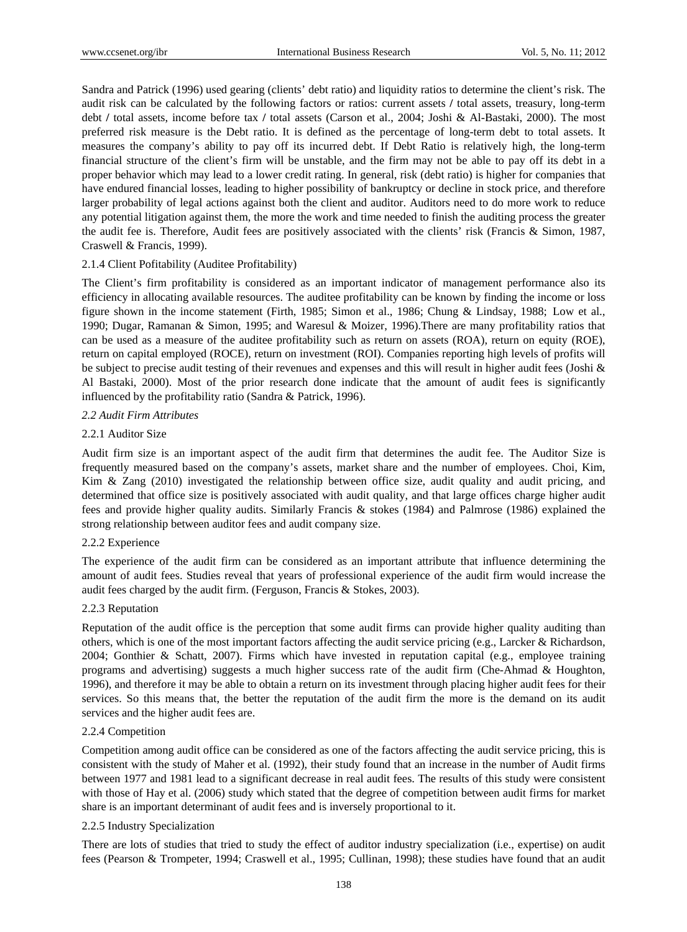Sandra and Patrick (1996) used gearing (clients' debt ratio) and liquidity ratios to determine the client's risk. The audit risk can be calculated by the following factors or ratios: current assets **/** total assets, treasury, long-term debt **/** total assets, income before tax **/** total assets (Carson et al., 2004; Joshi & Al-Bastaki, 2000). The most preferred risk measure is the Debt ratio. It is defined as the percentage of long-term debt to total assets. It measures the company's ability to pay off its incurred debt. If Debt Ratio is relatively high, the long-term financial structure of the client's firm will be unstable, and the firm may not be able to pay off its debt in a proper behavior which may lead to a lower credit rating. In general, risk (debt ratio) is higher for companies that have endured financial losses, leading to higher possibility of bankruptcy or decline in stock price, and therefore larger probability of legal actions against both the client and auditor. Auditors need to do more work to reduce any potential litigation against them, the more the work and time needed to finish the auditing process the greater the audit fee is. Therefore, Audit fees are positively associated with the clients' risk (Francis & Simon, 1987, Craswell & Francis, 1999).

## 2.1.4 Client Pofitability (Auditee Profitability)

The Client's firm profitability is considered as an important indicator of management performance also its efficiency in allocating available resources. The auditee profitability can be known by finding the income or loss figure shown in the income statement (Firth, 1985; Simon et al., 1986; Chung & Lindsay, 1988; Low et al., 1990; Dugar, Ramanan & Simon, 1995; and Waresul & Moizer, 1996).There are many profitability ratios that can be used as a measure of the auditee profitability such as return on assets (ROA), return on equity (ROE), return on capital employed (ROCE), return on investment (ROI). Companies reporting high levels of profits will be subject to precise audit testing of their revenues and expenses and this will result in higher audit fees (Joshi & Al Bastaki, 2000). Most of the prior research done indicate that the amount of audit fees is significantly influenced by the profitability ratio (Sandra & Patrick, 1996).

## *2.2 Audit Firm Attributes*

## 2.2.1 Auditor Size

Audit firm size is an important aspect of the audit firm that determines the audit fee. The Auditor Size is frequently measured based on the company's assets, market share and the number of employees. Choi, Kim, Kim & Zang (2010) investigated the relationship between office size, audit quality and audit pricing, and determined that office size is positively associated with audit quality, and that large offices charge higher audit fees and provide higher quality audits. Similarly Francis & stokes (1984) and Palmrose (1986) explained the strong relationship between auditor fees and audit company size.

## 2.2.2 Experience

The experience of the audit firm can be considered as an important attribute that influence determining the amount of audit fees. Studies reveal that years of professional experience of the audit firm would increase the audit fees charged by the audit firm. (Ferguson, Francis & Stokes, 2003).

## 2.2.3 Reputation

Reputation of the audit office is the perception that some audit firms can provide higher quality auditing than others, which is one of the most important factors affecting the audit service pricing (e.g., Larcker & Richardson, 2004; Gonthier & Schatt, 2007). Firms which have invested in reputation capital (e.g., employee training programs and advertising) suggests a much higher success rate of the audit firm (Che-Ahmad & Houghton, 1996), and therefore it may be able to obtain a return on its investment through placing higher audit fees for their services. So this means that, the better the reputation of the audit firm the more is the demand on its audit services and the higher audit fees are.

## 2.2.4 Competition

Competition among audit office can be considered as one of the factors affecting the audit service pricing, this is consistent with the study of Maher et al. (1992), their study found that an increase in the number of Audit firms between 1977 and 1981 lead to a significant decrease in real audit fees. The results of this study were consistent with those of Hay et al. (2006) study which stated that the degree of competition between audit firms for market share is an important determinant of audit fees and is inversely proportional to it.

## 2.2.5 Industry Specialization

There are lots of studies that tried to study the effect of auditor industry specialization (i.e., expertise) on audit fees (Pearson & Trompeter, 1994; Craswell et al., 1995; Cullinan, 1998); these studies have found that an audit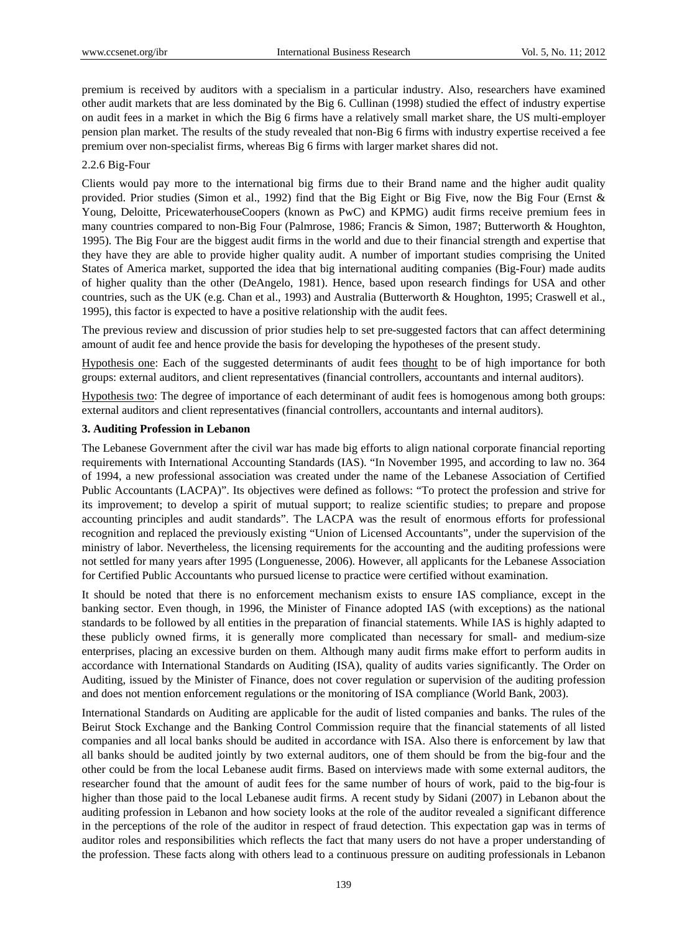premium is received by auditors with a specialism in a particular industry. Also, researchers have examined other audit markets that are less dominated by the Big 6. Cullinan (1998) studied the effect of industry expertise on audit fees in a market in which the Big 6 firms have a relatively small market share, the US multi-employer pension plan market. The results of the study revealed that non-Big 6 firms with industry expertise received a fee premium over non-specialist firms, whereas Big 6 firms with larger market shares did not.

#### 2.2.6 Big-Four

Clients would pay more to the international big firms due to their Brand name and the higher audit quality provided. Prior studies (Simon et al., 1992) find that the Big Eight or Big Five, now the Big Four (Ernst & Young, Deloitte, PricewaterhouseCoopers (known as PwC) and KPMG) audit firms receive premium fees in many countries compared to non-Big Four (Palmrose, 1986; Francis & Simon, 1987; Butterworth & Houghton, 1995). The Big Four are the biggest audit firms in the world and due to their financial strength and expertise that they have they are able to provide higher quality audit. A number of important studies comprising the United States of America market, supported the idea that big international auditing companies (Big-Four) made audits of higher quality than the other (DeAngelo, 1981). Hence, based upon research findings for USA and other countries, such as the UK (e.g. Chan et al., 1993) and Australia (Butterworth & Houghton, 1995; Craswell et al., 1995), this factor is expected to have a positive relationship with the audit fees.

The previous review and discussion of prior studies help to set pre-suggested factors that can affect determining amount of audit fee and hence provide the basis for developing the hypotheses of the present study.

Hypothesis one: Each of the suggested determinants of audit fees thought to be of high importance for both groups: external auditors, and client representatives (financial controllers, accountants and internal auditors).

Hypothesis two: The degree of importance of each determinant of audit fees is homogenous among both groups: external auditors and client representatives (financial controllers, accountants and internal auditors).

#### **3. Auditing Profession in Lebanon**

The Lebanese Government after the civil war has made big efforts to align national corporate financial reporting requirements with International Accounting Standards (IAS). "In November 1995, and according to law no. 364 of 1994, a new professional association was created under the name of the Lebanese Association of Certified Public Accountants (LACPA)". Its objectives were defined as follows: "To protect the profession and strive for its improvement; to develop a spirit of mutual support; to realize scientific studies; to prepare and propose accounting principles and audit standards". The LACPA was the result of enormous efforts for professional recognition and replaced the previously existing "Union of Licensed Accountants", under the supervision of the ministry of labor. Nevertheless, the licensing requirements for the accounting and the auditing professions were not settled for many years after 1995 (Longuenesse, 2006). However, all applicants for the Lebanese Association for Certified Public Accountants who pursued license to practice were certified without examination.

It should be noted that there is no enforcement mechanism exists to ensure IAS compliance, except in the banking sector. Even though, in 1996, the Minister of Finance adopted IAS (with exceptions) as the national standards to be followed by all entities in the preparation of financial statements. While IAS is highly adapted to these publicly owned firms, it is generally more complicated than necessary for small- and medium-size enterprises, placing an excessive burden on them. Although many audit firms make effort to perform audits in accordance with International Standards on Auditing (ISA), quality of audits varies significantly. The Order on Auditing, issued by the Minister of Finance, does not cover regulation or supervision of the auditing profession and does not mention enforcement regulations or the monitoring of ISA compliance (World Bank, 2003).

International Standards on Auditing are applicable for the audit of listed companies and banks. The rules of the Beirut Stock Exchange and the Banking Control Commission require that the financial statements of all listed companies and all local banks should be audited in accordance with ISA. Also there is enforcement by law that all banks should be audited jointly by two external auditors, one of them should be from the big-four and the other could be from the local Lebanese audit firms. Based on interviews made with some external auditors, the researcher found that the amount of audit fees for the same number of hours of work, paid to the big-four is higher than those paid to the local Lebanese audit firms. A recent study by Sidani (2007) in Lebanon about the auditing profession in Lebanon and how society looks at the role of the auditor revealed a significant difference in the perceptions of the role of the auditor in respect of fraud detection. This expectation gap was in terms of auditor roles and responsibilities which reflects the fact that many users do not have a proper understanding of the profession. These facts along with others lead to a continuous pressure on auditing professionals in Lebanon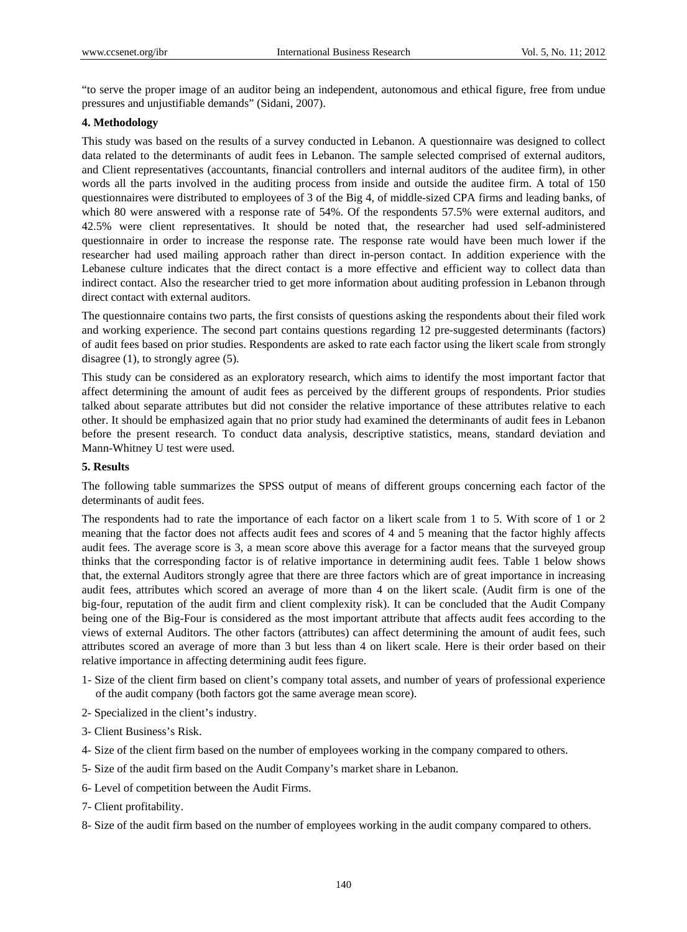"to serve the proper image of an auditor being an independent, autonomous and ethical figure, free from undue pressures and unjustifiable demands" (Sidani, 2007).

#### **4. Methodology**

This study was based on the results of a survey conducted in Lebanon. A questionnaire was designed to collect data related to the determinants of audit fees in Lebanon. The sample selected comprised of external auditors, and Client representatives (accountants, financial controllers and internal auditors of the auditee firm), in other words all the parts involved in the auditing process from inside and outside the auditee firm. A total of 150 questionnaires were distributed to employees of 3 of the Big 4, of middle-sized CPA firms and leading banks, of which 80 were answered with a response rate of 54%. Of the respondents 57.5% were external auditors, and 42.5% were client representatives. It should be noted that, the researcher had used self-administered questionnaire in order to increase the response rate. The response rate would have been much lower if the researcher had used mailing approach rather than direct in-person contact. In addition experience with the Lebanese culture indicates that the direct contact is a more effective and efficient way to collect data than indirect contact. Also the researcher tried to get more information about auditing profession in Lebanon through direct contact with external auditors.

The questionnaire contains two parts, the first consists of questions asking the respondents about their filed work and working experience. The second part contains questions regarding 12 pre-suggested determinants (factors) of audit fees based on prior studies. Respondents are asked to rate each factor using the likert scale from strongly disagree (1), to strongly agree (5).

This study can be considered as an exploratory research, which aims to identify the most important factor that affect determining the amount of audit fees as perceived by the different groups of respondents. Prior studies talked about separate attributes but did not consider the relative importance of these attributes relative to each other. It should be emphasized again that no prior study had examined the determinants of audit fees in Lebanon before the present research. To conduct data analysis, descriptive statistics, means, standard deviation and Mann-Whitney U test were used.

#### **5. Results**

The following table summarizes the SPSS output of means of different groups concerning each factor of the determinants of audit fees.

The respondents had to rate the importance of each factor on a likert scale from 1 to 5. With score of 1 or 2 meaning that the factor does not affects audit fees and scores of 4 and 5 meaning that the factor highly affects audit fees. The average score is 3, a mean score above this average for a factor means that the surveyed group thinks that the corresponding factor is of relative importance in determining audit fees. Table 1 below shows that, the external Auditors strongly agree that there are three factors which are of great importance in increasing audit fees, attributes which scored an average of more than 4 on the likert scale. (Audit firm is one of the big-four, reputation of the audit firm and client complexity risk). It can be concluded that the Audit Company being one of the Big-Four is considered as the most important attribute that affects audit fees according to the views of external Auditors. The other factors (attributes) can affect determining the amount of audit fees, such attributes scored an average of more than 3 but less than 4 on likert scale. Here is their order based on their relative importance in affecting determining audit fees figure.

- 1- Size of the client firm based on client's company total assets, and number of years of professional experience of the audit company (both factors got the same average mean score).
- 2- Specialized in the client's industry.
- 3- Client Business's Risk.
- 4- Size of the client firm based on the number of employees working in the company compared to others.
- 5- Size of the audit firm based on the Audit Company's market share in Lebanon.
- 6- Level of competition between the Audit Firms.
- 7- Client profitability.

8- Size of the audit firm based on the number of employees working in the audit company compared to others.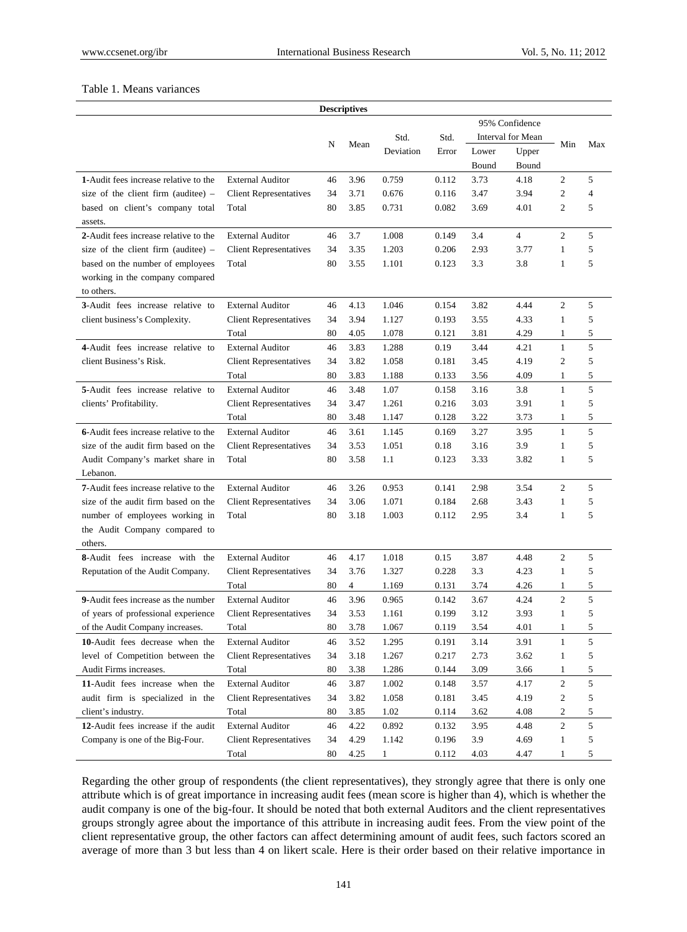#### Table 1. Means variances

| <b>Descriptives</b>                          |                               |                |      |              |       |                   |       |                  |     |
|----------------------------------------------|-------------------------------|----------------|------|--------------|-------|-------------------|-------|------------------|-----|
|                                              |                               | 95% Confidence |      |              |       |                   |       |                  |     |
|                                              |                               |                |      | Std.         | Std.  | Interval for Mean |       | Min              |     |
|                                              |                               | N              | Mean | Deviation    | Error | Lower             | Upper |                  | Max |
|                                              |                               |                |      |              |       | Bound             | Bound |                  |     |
| 1-Audit fees increase relative to the        | <b>External Auditor</b>       | 46             | 3.96 | 0.759        | 0.112 | 3.73              | 4.18  | 2                | 5   |
| size of the client firm (auditee) $-$        | <b>Client Representatives</b> | 34             | 3.71 | 0.676        | 0.116 | 3.47              | 3.94  | 2                | 4   |
| based on client's company total              | Total                         | 80             | 3.85 | 0.731        | 0.082 | 3.69              | 4.01  | 2                | 5   |
| assets.                                      |                               |                |      |              |       |                   |       |                  |     |
| 2-Audit fees increase relative to the        | <b>External Auditor</b>       | 46             | 3.7  | 1.008        | 0.149 | 3.4               | 4     | $\overline{c}$   | 5   |
| size of the client firm (auditee) $-$        | <b>Client Representatives</b> | 34             | 3.35 | 1.203        | 0.206 | 2.93              | 3.77  | 1                | 5   |
| based on the number of employees             | Total                         | 80             | 3.55 | 1.101        | 0.123 | 3.3               | 3.8   | $\mathbf{1}$     | 5   |
| working in the company compared              |                               |                |      |              |       |                   |       |                  |     |
| to others.                                   |                               |                |      |              |       |                   |       |                  |     |
| 3-Audit fees increase relative to            | <b>External Auditor</b>       | 46             | 4.13 | 1.046        | 0.154 | 3.82              | 4.44  | $\overline{c}$   | 5   |
| client business's Complexity.                | <b>Client Representatives</b> | 34             | 3.94 | 1.127        | 0.193 | 3.55              | 4.33  | 1                | 5   |
|                                              | Total                         | 80             | 4.05 | 1.078        | 0.121 | 3.81              | 4.29  | 1                | 5   |
| 4-Audit fees increase relative to            | <b>External Auditor</b>       | 46             | 3.83 | 1.288        | 0.19  | 3.44              | 4.21  | $\mathbf{1}$     | 5   |
| client Business's Risk.                      | <b>Client Representatives</b> | 34             | 3.82 | 1.058        | 0.181 | 3.45              | 4.19  | 2                | 5   |
|                                              | Total                         | 80             | 3.83 | 1.188        | 0.133 | 3.56              | 4.09  | 1                | 5   |
| 5-Audit fees increase relative to            | <b>External Auditor</b>       | 46             | 3.48 | 1.07         | 0.158 | 3.16              | 3.8   | $\mathbf{1}$     | 5   |
| clients' Profitability.                      | <b>Client Representatives</b> | 34             | 3.47 | 1.261        | 0.216 | 3.03              | 3.91  | $\mathbf{1}$     | 5   |
|                                              | Total                         | 80             | 3.48 | 1.147        | 0.128 | 3.22              | 3.73  | 1                | 5   |
| <b>6-Audit fees increase relative to the</b> | <b>External Auditor</b>       | 46             | 3.61 | 1.145        | 0.169 | 3.27              | 3.95  | $\mathbf{1}$     | 5   |
| size of the audit firm based on the          | <b>Client Representatives</b> | 34             | 3.53 | 1.051        | 0.18  | 3.16              | 3.9   | 1                | 5   |
| Audit Company's market share in              | Total                         | 80             | 3.58 | 1.1          | 0.123 | 3.33              | 3.82  | $\mathbf{1}$     | 5   |
| Lebanon.                                     |                               |                |      |              |       |                   |       |                  |     |
| 7-Audit fees increase relative to the        | <b>External Auditor</b>       | 46             | 3.26 | 0.953        | 0.141 | 2.98              | 3.54  | $\overline{c}$   | 5   |
| size of the audit firm based on the          | <b>Client Representatives</b> | 34             | 3.06 | 1.071        | 0.184 | 2.68              | 3.43  | 1                | 5   |
| number of employees working in               | Total                         | 80             | 3.18 | 1.003        | 0.112 | 2.95              | 3.4   | $\mathbf{1}$     | 5   |
| the Audit Company compared to                |                               |                |      |              |       |                   |       |                  |     |
| others.                                      |                               |                |      |              |       |                   |       |                  |     |
| 8-Audit fees increase with the               | <b>External Auditor</b>       | 46             | 4.17 | 1.018        | 0.15  | 3.87              | 4.48  | $\overline{2}$   | 5   |
| Reputation of the Audit Company.             | <b>Client Representatives</b> | 34             | 3.76 | 1.327        | 0.228 | 3.3               | 4.23  | $\mathbf{1}$     | 5   |
|                                              | Total                         | 80             | 4    | 1.169        | 0.131 | 3.74              | 4.26  | $\mathbf{1}$     | 5   |
| 9-Audit fees increase as the number          | <b>External Auditor</b>       | 46             | 3.96 | 0.965        | 0.142 | 3.67              | 4.24  | $\overline{c}$   | 5   |
| of years of professional experience          | <b>Client Representatives</b> | 34             | 3.53 | 1.161        | 0.199 | 3.12              | 3.93  | 1                | 5   |
| of the Audit Company increases.              | Total                         | 80             | 3.78 | 1.067        | 0.119 | 3.54              | 4.01  | $\mathbf{1}$     | 5   |
| 10-Audit fees decrease when the              | <b>External Auditor</b>       | 46             | 3.52 | 1.295        | 0.191 | 3.14              | 3.91  | $\mathbf{1}$     | 5   |
| level of Competition between the             | <b>Client Representatives</b> | 34             | 3.18 | 1.267        | 0.217 | 2.73              | 3.62  | $\mathbf{1}$     | 5   |
| Audit Firms increases.                       | Total                         | 80             | 3.38 | 1.286        | 0.144 | 3.09              | 3.66  | $\mathbf{1}$     | 5   |
| 11-Audit fees increase when the              | <b>External Auditor</b>       | 46             | 3.87 | 1.002        | 0.148 | 3.57              | 4.17  | $\boldsymbol{2}$ | 5   |
| audit firm is specialized in the             | <b>Client Representatives</b> | 34             | 3.82 | 1.058        | 0.181 | 3.45              | 4.19  | $\overline{c}$   | 5   |
| client's industry.                           | Total                         | 80             | 3.85 | 1.02         | 0.114 | 3.62              | 4.08  | $\overline{c}$   | 5   |
| 12-Audit fees increase if the audit          | <b>External Auditor</b>       | 46             | 4.22 | 0.892        | 0.132 | 3.95              | 4.48  | $\sqrt{2}$       | 5   |
| Company is one of the Big-Four.              | <b>Client Representatives</b> | 34             | 4.29 | 1.142        | 0.196 | 3.9               | 4.69  | $\mathbf{1}$     | 5   |
|                                              | Total                         | 80             | 4.25 | $\mathbf{1}$ | 0.112 | 4.03              | 4.47  | 1                | 5   |

Regarding the other group of respondents (the client representatives), they strongly agree that there is only one attribute which is of great importance in increasing audit fees (mean score is higher than 4), which is whether the audit company is one of the big-four. It should be noted that both external Auditors and the client representatives groups strongly agree about the importance of this attribute in increasing audit fees. From the view point of the client representative group, the other factors can affect determining amount of audit fees, such factors scored an average of more than 3 but less than 4 on likert scale. Here is their order based on their relative importance in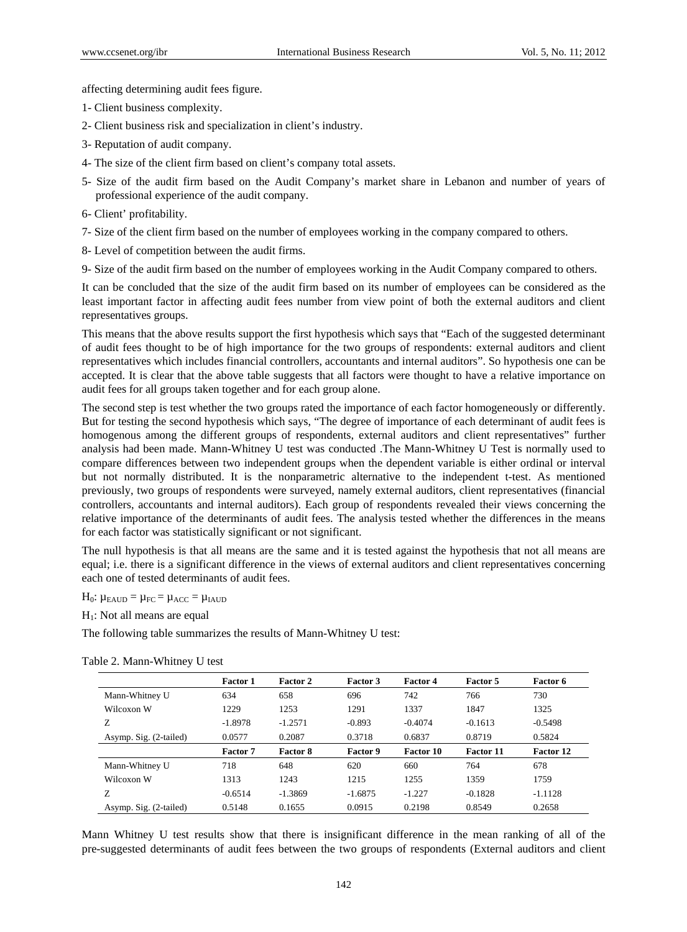affecting determining audit fees figure.

- 1- Client business complexity.
- 2- Client business risk and specialization in client's industry.
- 3- Reputation of audit company.
- 4- The size of the client firm based on client's company total assets.
- 5- Size of the audit firm based on the Audit Company's market share in Lebanon and number of years of professional experience of the audit company.
- 6- Client' profitability.
- 7- Size of the client firm based on the number of employees working in the company compared to others.
- 8- Level of competition between the audit firms.

9- Size of the audit firm based on the number of employees working in the Audit Company compared to others.

It can be concluded that the size of the audit firm based on its number of employees can be considered as the least important factor in affecting audit fees number from view point of both the external auditors and client representatives groups.

This means that the above results support the first hypothesis which says that "Each of the suggested determinant of audit fees thought to be of high importance for the two groups of respondents: external auditors and client representatives which includes financial controllers, accountants and internal auditors". So hypothesis one can be accepted. It is clear that the above table suggests that all factors were thought to have a relative importance on audit fees for all groups taken together and for each group alone.

The second step is test whether the two groups rated the importance of each factor homogeneously or differently. But for testing the second hypothesis which says, "The degree of importance of each determinant of audit fees is homogenous among the different groups of respondents, external auditors and client representatives" further analysis had been made. Mann-Whitney U test was conducted .The Mann-Whitney U Test is normally used to compare differences between two independent groups when the dependent variable is either ordinal or interval but not normally distributed. It is the nonparametric alternative to the independent t-test. As mentioned previously, two groups of respondents were surveyed, namely external auditors, client representatives (financial controllers, accountants and internal auditors). Each group of respondents revealed their views concerning the relative importance of the determinants of audit fees. The analysis tested whether the differences in the means for each factor was statistically significant or not significant.

The null hypothesis is that all means are the same and it is tested against the hypothesis that not all means are equal; i.e. there is a significant difference in the views of external auditors and client representatives concerning each one of tested determinants of audit fees.

 $H_0$ :  $\mu_{EAUD} = \mu_{FC} = \mu_{ACC} = \mu_{IAUD}$ 

 $H<sub>1</sub>$ : Not all means are equal

The following table summarizes the results of Mann-Whitney U test:

|                        | <b>Factor 1</b> | Factor 2  | Factor 3  | <b>Factor 4</b> | Factor 5  | <b>Factor 6</b> |
|------------------------|-----------------|-----------|-----------|-----------------|-----------|-----------------|
| Mann-Whitney U         | 634             | 658       | 696       | 742             | 766       | 730             |
| Wilcoxon W             | 1229            | 1253      | 1291      | 1337            | 1847      | 1325            |
| Ζ                      | $-1.8978$       | $-1.2571$ | $-0.893$  | $-0.4074$       | $-0.1613$ | $-0.5498$       |
| Asymp. Sig. (2-tailed) | 0.0577          | 0.2087    | 0.3718    | 0.6837          | 0.8719    | 0.5824          |
|                        | Factor 7        | Factor 8  | Factor 9  | Factor 10       | Factor 11 | Factor 12       |
| Mann-Whitney U         | 718             | 648       | 620       | 660             | 764       | 678             |
| Wilcoxon W             | 1313            | 1243      | 1215      | 1255            | 1359      | 1759            |
| Z                      | $-0.6514$       | $-1.3869$ | $-1.6875$ | $-1.227$        | $-0.1828$ | $-1.1128$       |
| Asymp. Sig. (2-tailed) | 0.5148          | 0.1655    | 0.0915    | 0.2198          | 0.8549    | 0.2658          |

Table 2. Mann-Whitney U test

Mann Whitney U test results show that there is insignificant difference in the mean ranking of all of the pre-suggested determinants of audit fees between the two groups of respondents (External auditors and client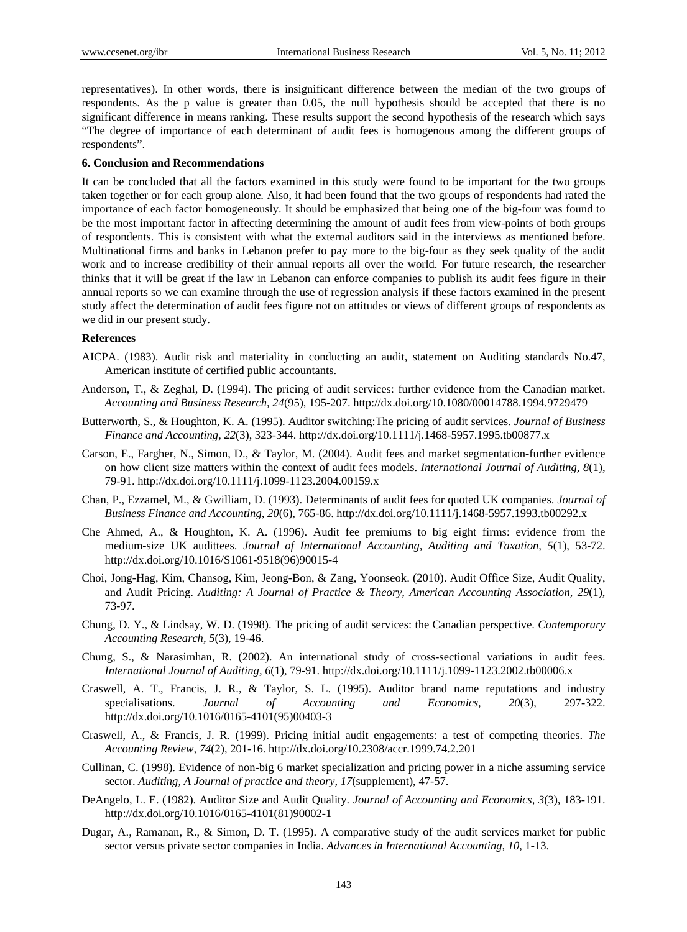representatives). In other words, there is insignificant difference between the median of the two groups of respondents. As the p value is greater than 0.05, the null hypothesis should be accepted that there is no significant difference in means ranking. These results support the second hypothesis of the research which says "The degree of importance of each determinant of audit fees is homogenous among the different groups of respondents".

#### **6. Conclusion and Recommendations**

It can be concluded that all the factors examined in this study were found to be important for the two groups taken together or for each group alone. Also, it had been found that the two groups of respondents had rated the importance of each factor homogeneously. It should be emphasized that being one of the big-four was found to be the most important factor in affecting determining the amount of audit fees from view-points of both groups of respondents. This is consistent with what the external auditors said in the interviews as mentioned before. Multinational firms and banks in Lebanon prefer to pay more to the big-four as they seek quality of the audit work and to increase credibility of their annual reports all over the world. For future research, the researcher thinks that it will be great if the law in Lebanon can enforce companies to publish its audit fees figure in their annual reports so we can examine through the use of regression analysis if these factors examined in the present study affect the determination of audit fees figure not on attitudes or views of different groups of respondents as we did in our present study.

#### **References**

- AICPA. (1983). Audit risk and materiality in conducting an audit, statement on Auditing standards No.47, American institute of certified public accountants.
- Anderson, T., & Zeghal, D. (1994). The pricing of audit services: further evidence from the Canadian market. *Accounting and Business Research, 24*(95), 195-207. http://dx.doi.org/10.1080/00014788.1994.9729479
- Butterworth, S., & Houghton, K. A. (1995). Auditor switching:The pricing of audit services. *Journal of Business Finance and Accounting, 22*(3), 323-344. http://dx.doi.org/10.1111/j.1468-5957.1995.tb00877.x
- Carson, E., Fargher, N., Simon, D., & Taylor, M. (2004). Audit fees and market segmentation-further evidence on how client size matters within the context of audit fees models. *International Journal of Auditing, 8*(1), 79-91. http://dx.doi.org/10.1111/j.1099-1123.2004.00159.x
- Chan, P., Ezzamel, M., & Gwilliam, D. (1993). Determinants of audit fees for quoted UK companies. *Journal of Business Finance and Accounting, 20*(6), 765-86. http://dx.doi.org/10.1111/j.1468-5957.1993.tb00292.x
- Che Ahmed, A., & Houghton, K. A. (1996). Audit fee premiums to big eight firms: evidence from the medium-size UK audittees. *Journal of International Accounting, Auditing and Taxation, 5*(1), 53-72. http://dx.doi.org/10.1016/S1061-9518(96)90015-4
- Choi, Jong-Hag, Kim, Chansog, Kim, Jeong-Bon, & Zang, Yoonseok. (2010). Audit Office Size, Audit Quality, and Audit Pricing. *Auditing: A Journal of Practice & Theory, American Accounting Association, 29*(1), 73-97.
- Chung, D. Y., & Lindsay, W. D. (1998). The pricing of audit services: the Canadian perspective. *Contemporary Accounting Research, 5*(3), 19-46.
- Chung, S., & Narasimhan, R. (2002). An international study of cross-sectional variations in audit fees. *International Journal of Auditing, 6*(1), 79-91. http://dx.doi.org/10.1111/j.1099-1123.2002.tb00006.x
- Craswell, A. T., Francis, J. R., & Taylor, S. L. (1995). Auditor brand name reputations and industry specialisations. *Journal of Accounting and Economics, 20*(3), 297-322. http://dx.doi.org/10.1016/0165-4101(95)00403-3
- Craswell, A., & Francis, J. R. (1999). Pricing initial audit engagements: a test of competing theories. *The Accounting Review, 74*(2), 201-16. http://dx.doi.org/10.2308/accr.1999.74.2.201
- Cullinan, C. (1998). Evidence of non-big 6 market specialization and pricing power in a niche assuming service sector. *Auditing, A Journal of practice and theory, 17*(supplement), 47-57.
- DeAngelo, L. E. (1982). Auditor Size and Audit Quality. *Journal of Accounting and Economics, 3*(3), 183-191. http://dx.doi.org/10.1016/0165-4101(81)90002-1
- Dugar, A., Ramanan, R., & Simon, D. T. (1995). A comparative study of the audit services market for public sector versus private sector companies in India. *Advances in International Accounting, 10*, 1-13.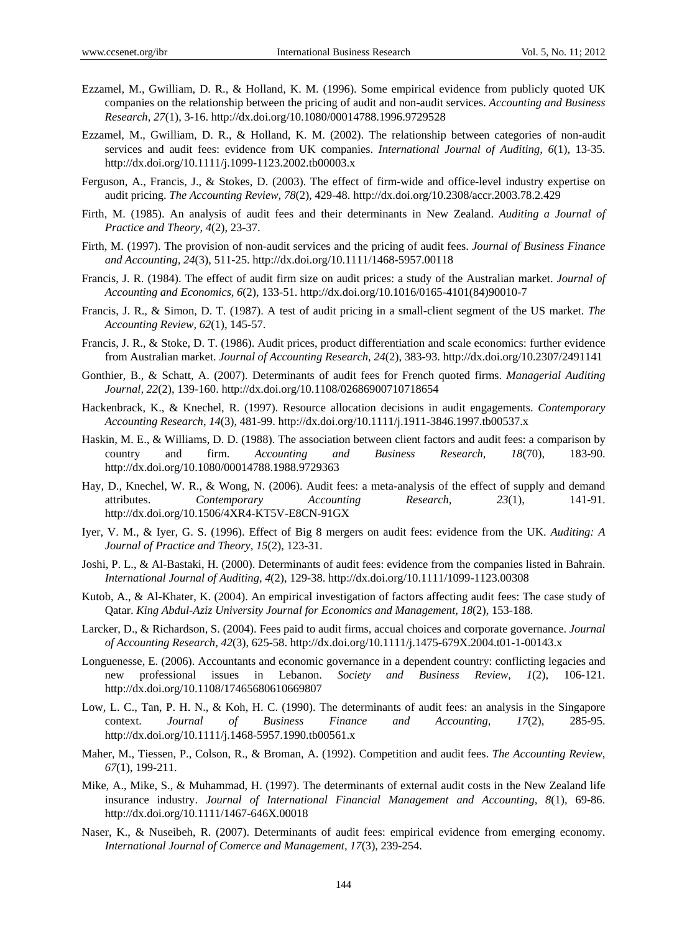- Ezzamel, M., Gwilliam, D. R., & Holland, K. M. (1996). Some empirical evidence from publicly quoted UK companies on the relationship between the pricing of audit and non-audit services. *Accounting and Business Research, 27*(1), 3-16. http://dx.doi.org/10.1080/00014788.1996.9729528
- Ezzamel, M., Gwilliam, D. R., & Holland, K. M. (2002). The relationship between categories of non-audit services and audit fees: evidence from UK companies. *International Journal of Auditing, 6*(1), 13-35. http://dx.doi.org/10.1111/j.1099-1123.2002.tb00003.x
- Ferguson, A., Francis, J., & Stokes, D. (2003). The effect of firm-wide and office-level industry expertise on audit pricing. *The Accounting Review, 78*(2), 429-48. http://dx.doi.org/10.2308/accr.2003.78.2.429
- Firth, M. (1985). An analysis of audit fees and their determinants in New Zealand. *Auditing a Journal of Practice and Theory, 4*(2), 23-37.
- Firth, M. (1997). The provision of non-audit services and the pricing of audit fees. *Journal of Business Finance and Accounting, 24*(3), 511-25. http://dx.doi.org/10.1111/1468-5957.00118
- Francis, J. R. (1984). The effect of audit firm size on audit prices: a study of the Australian market. *Journal of Accounting and Economics, 6*(2), 133-51. http://dx.doi.org/10.1016/0165-4101(84)90010-7
- Francis, J. R., & Simon, D. T. (1987). A test of audit pricing in a small-client segment of the US market. *The Accounting Review, 62*(1), 145-57.
- Francis, J. R., & Stoke, D. T. (1986). Audit prices, product differentiation and scale economics: further evidence from Australian market. *Journal of Accounting Research, 24*(2), 383-93. http://dx.doi.org/10.2307/2491141
- Gonthier, B., & Schatt, A. (2007). Determinants of audit fees for French quoted firms. *Managerial Auditing Journal, 22*(2), 139-160. http://dx.doi.org/10.1108/02686900710718654
- Hackenbrack, K., & Knechel, R. (1997). Resource allocation decisions in audit engagements. *Contemporary Accounting Research*, *14*(3), 481-99. http://dx.doi.org/10.1111/j.1911-3846.1997.tb00537.x
- Haskin, M. E., & Williams, D. D. (1988). The association between client factors and audit fees: a comparison by country and firm. *Accounting and Business Research, 18*(70), 183-90. http://dx.doi.org/10.1080/00014788.1988.9729363
- Hay, D., Knechel, W. R., & Wong, N. (2006). Audit fees: a meta-analysis of the effect of supply and demand attributes. *Contemporary Accounting Research*, *23*(1), 141-91. http://dx.doi.org/10.1506/4XR4-KT5V-E8CN-91GX
- Iyer, V. M., & Iyer, G. S. (1996). Effect of Big 8 mergers on audit fees: evidence from the UK. *Auditing: A Journal of Practice and Theory, 15*(2), 123-31.
- Joshi, P. L., & Al-Bastaki, H. (2000). Determinants of audit fees: evidence from the companies listed in Bahrain. *International Journal of Auditing, 4*(2), 129-38. http://dx.doi.org/10.1111/1099-1123.00308
- Kutob, A., & Al-Khater, K. (2004). An empirical investigation of factors affecting audit fees: The case study of Qatar. *King Abdul-Aziz University Journal for Economics and Management, 18*(2), 153-188.
- Larcker, D., & Richardson, S. (2004). Fees paid to audit firms, accual choices and corporate governance. *Journal of Accounting Research, 42*(3), 625-58. http://dx.doi.org/10.1111/j.1475-679X.2004.t01-1-00143.x
- Longuenesse, E. (2006). Accountants and economic governance in a dependent country: conflicting legacies and new professional issues in Lebanon. *Society and Business Review, 1*(2), 106-121. http://dx.doi.org/10.1108/17465680610669807
- Low, L. C., Tan, P. H. N., & Koh, H. C. (1990). The determinants of audit fees: an analysis in the Singapore context. *Journal of Business Finance and Accounting, 17*(2), 285-95. http://dx.doi.org/10.1111/j.1468-5957.1990.tb00561.x
- Maher, M., Tiessen, P., Colson, R., & Broman, A. (1992). Competition and audit fees. *The Accounting Review, 67*(1), 199-211.
- Mike, A., Mike, S., & Muhammad, H. (1997). The determinants of external audit costs in the New Zealand life insurance industry. *Journal of International Financial Management and Accounting, 8*(1), 69-86. http://dx.doi.org/10.1111/1467-646X.00018
- Naser, K., & Nuseibeh, R. (2007). Determinants of audit fees: empirical evidence from emerging economy. *International Journal of Comerce and Management, 17*(3), 239-254.